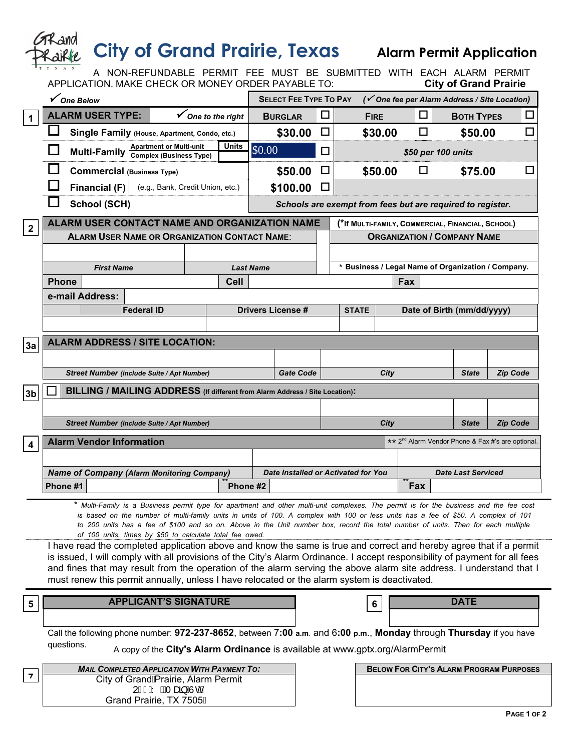| <b>City of Grand Prairie, Texas</b><br><b>Alarm Permit Application</b>                                                                                     |                                                                                                                                                                                                                                                                                                                                                                                                                                                                               |                                                      |                                                               |                                                   |                                                           |                                  |                    |                   |                         |        |        |  |  |
|------------------------------------------------------------------------------------------------------------------------------------------------------------|-------------------------------------------------------------------------------------------------------------------------------------------------------------------------------------------------------------------------------------------------------------------------------------------------------------------------------------------------------------------------------------------------------------------------------------------------------------------------------|------------------------------------------------------|---------------------------------------------------------------|---------------------------------------------------|-----------------------------------------------------------|----------------------------------|--------------------|-------------------|-------------------------|--------|--------|--|--|
| A NON-REFUNDABLE PERMIT FEE MUST BE SUBMITTED WITH EACH ALARM PERMIT<br>APPLICATION. MAKE CHECK OR MONEY ORDER PAYABLE TO:<br><b>City of Grand Prairie</b> |                                                                                                                                                                                                                                                                                                                                                                                                                                                                               |                                                      |                                                               |                                                   |                                                           |                                  |                    |                   |                         |        |        |  |  |
|                                                                                                                                                            | ✔ One Below                                                                                                                                                                                                                                                                                                                                                                                                                                                                   | <b>SELECT FEE TYPE TO PAY</b>                        |                                                               |                                                   | ( $\checkmark$ One fee per Alarm Address / Site Location) |                                  |                    |                   |                         |        |        |  |  |
| $\mathbf{1}$                                                                                                                                               | <b>ALARM USER TYPE:</b><br>$\checkmark$ One to the right                                                                                                                                                                                                                                                                                                                                                                                                                      | □<br><b>BURGLAR</b>                                  |                                                               | <b>FIRE</b>                                       |                                                           | □                                |                    | <b>BOTH TYPES</b> |                         | $\Box$ |        |  |  |
|                                                                                                                                                            | Single Family (House, Apartment, Condo, etc.)                                                                                                                                                                                                                                                                                                                                                                                                                                 |                                                      | \$30.00                                                       | $\Box$                                            |                                                           | \$30.00<br>ΙI                    |                    |                   | \$50.00<br>$\mathsf{L}$ |        |        |  |  |
|                                                                                                                                                            | Multi-Family Apartment or Multi-unit                                                                                                                                                                                                                                                                                                                                                                                                                                          | <b>Units</b>                                         | \$0.00                                                        | □                                                 |                                                           |                                  | \$50 per 100 units |                   |                         |        |        |  |  |
|                                                                                                                                                            | <b>Commercial (Business Type)</b>                                                                                                                                                                                                                                                                                                                                                                                                                                             |                                                      |                                                               | □                                                 |                                                           | \$50.00<br>ΙI                    |                    |                   | \$75.00                 |        | $\Box$ |  |  |
|                                                                                                                                                            | Financial (F)<br>(e.g., Bank, Credit Union, etc.)                                                                                                                                                                                                                                                                                                                                                                                                                             |                                                      | \$100.00                                                      | □                                                 |                                                           |                                  |                    |                   |                         |        |        |  |  |
|                                                                                                                                                            | <b>School (SCH)</b>                                                                                                                                                                                                                                                                                                                                                                                                                                                           |                                                      | Schools are exempt from fees but are required to register.    |                                                   |                                                           |                                  |                    |                   |                         |        |        |  |  |
| $\overline{2}$                                                                                                                                             | ALARM USER CONTACT NAME AND ORGANIZATION NAME                                                                                                                                                                                                                                                                                                                                                                                                                                 |                                                      |                                                               | (*If MULTI-FAMILY, COMMERCIAL, FINANCIAL, SCHOOL) |                                                           |                                  |                    |                   |                         |        |        |  |  |
|                                                                                                                                                            |                                                                                                                                                                                                                                                                                                                                                                                                                                                                               | <b>ALARM USER NAME OR ORGANIZATION CONTACT NAME:</b> |                                                               |                                                   | <b>ORGANIZATION / COMPANY NAME</b>                        |                                  |                    |                   |                         |        |        |  |  |
|                                                                                                                                                            |                                                                                                                                                                                                                                                                                                                                                                                                                                                                               |                                                      |                                                               |                                                   |                                                           |                                  |                    |                   |                         |        |        |  |  |
|                                                                                                                                                            | <b>First Name</b><br><b>Phone</b>                                                                                                                                                                                                                                                                                                                                                                                                                                             | <b>Cell</b>                                          | <b>Last Name</b>                                              |                                                   | * Business / Legal Name of Organization / Company.        |                                  |                    |                   |                         |        |        |  |  |
|                                                                                                                                                            | e-mail Address:                                                                                                                                                                                                                                                                                                                                                                                                                                                               |                                                      |                                                               |                                                   | Fax                                                       |                                  |                    |                   |                         |        |        |  |  |
|                                                                                                                                                            | <b>Federal ID</b>                                                                                                                                                                                                                                                                                                                                                                                                                                                             |                                                      | <b>Drivers License #</b>                                      |                                                   | Date of Birth (mm/dd/yyyy)<br><b>STATE</b>                |                                  |                    |                   |                         |        |        |  |  |
|                                                                                                                                                            |                                                                                                                                                                                                                                                                                                                                                                                                                                                                               |                                                      |                                                               |                                                   |                                                           |                                  |                    |                   |                         |        |        |  |  |
| 3a                                                                                                                                                         | <b>ALARM ADDRESS / SITE LOCATION:</b>                                                                                                                                                                                                                                                                                                                                                                                                                                         |                                                      |                                                               |                                                   |                                                           |                                  |                    |                   |                         |        |        |  |  |
|                                                                                                                                                            |                                                                                                                                                                                                                                                                                                                                                                                                                                                                               |                                                      |                                                               |                                                   |                                                           |                                  |                    |                   |                         |        |        |  |  |
|                                                                                                                                                            | Street Number (include Suite / Apt Number)                                                                                                                                                                                                                                                                                                                                                                                                                                    |                                                      | <b>Gate Code</b>                                              |                                                   | City<br><b>State</b>                                      |                                  |                    |                   | <b>Zip Code</b>         |        |        |  |  |
| 3 <sub>b</sub>                                                                                                                                             | BILLING / MAILING ADDRESS (If different from Alarm Address / Site Location):                                                                                                                                                                                                                                                                                                                                                                                                  |                                                      |                                                               |                                                   |                                                           |                                  |                    |                   |                         |        |        |  |  |
|                                                                                                                                                            |                                                                                                                                                                                                                                                                                                                                                                                                                                                                               |                                                      |                                                               |                                                   |                                                           |                                  |                    |                   |                         |        |        |  |  |
|                                                                                                                                                            | <b>Street Number (include Suite / Apt Number)</b>                                                                                                                                                                                                                                                                                                                                                                                                                             |                                                      |                                                               | <b>Zip Code</b><br>City<br><b>State</b>           |                                                           |                                  |                    |                   |                         |        |        |  |  |
| 4                                                                                                                                                          | <b>Alarm Vendor Information</b>                                                                                                                                                                                                                                                                                                                                                                                                                                               |                                                      | ** 2 <sup>nd</sup> Alarm Vendor Phone & Fax #'s are optional. |                                                   |                                                           |                                  |                    |                   |                         |        |        |  |  |
|                                                                                                                                                            |                                                                                                                                                                                                                                                                                                                                                                                                                                                                               |                                                      |                                                               |                                                   |                                                           |                                  |                    |                   |                         |        |        |  |  |
|                                                                                                                                                            | <b>Name of Company (Alarm Monitoring Company)</b><br>Phone #1                                                                                                                                                                                                                                                                                                                                                                                                                 | Phone #2                                             | Date Installed or Activated for You                           |                                                   |                                                           | <b>Date Last Serviced</b><br>Fax |                    |                   |                         |        |        |  |  |
|                                                                                                                                                            |                                                                                                                                                                                                                                                                                                                                                                                                                                                                               |                                                      |                                                               |                                                   |                                                           |                                  |                    |                   |                         |        |        |  |  |
|                                                                                                                                                            | * Multi-Family is a Business permit type for apartment and other multi-unit complexes. The permit is for the business and the fee cost<br>is based on the number of multi-family units in units of 100. A complex with 100 or less units has a fee of \$50. A complex of 101<br>to 200 units has a fee of \$100 and so on. Above in the Unit number box, record the total number of units. Then for each multiple<br>of 100 units, times by \$50 to calculate total fee owed. |                                                      |                                                               |                                                   |                                                           |                                  |                    |                   |                         |        |        |  |  |
|                                                                                                                                                            | I have read the completed application above and know the same is true and correct and hereby agree that if a permit                                                                                                                                                                                                                                                                                                                                                           |                                                      |                                                               |                                                   |                                                           |                                  |                    |                   |                         |        |        |  |  |
|                                                                                                                                                            | is issued, I will comply with all provisions of the City's Alarm Ordinance. I accept responsibility of payment for all fees<br>and fines that may result from the operation of the alarm serving the above alarm site address. I understand that I                                                                                                                                                                                                                            |                                                      |                                                               |                                                   |                                                           |                                  |                    |                   |                         |        |        |  |  |
|                                                                                                                                                            | must renew this permit annually, unless I have relocated or the alarm system is deactivated.                                                                                                                                                                                                                                                                                                                                                                                  |                                                      |                                                               |                                                   |                                                           |                                  |                    |                   |                         |        |        |  |  |
| $\overline{\mathbf{5}}$                                                                                                                                    | <b>APPLICANT'S SIGNATURE</b>                                                                                                                                                                                                                                                                                                                                                                                                                                                  |                                                      |                                                               | 6                                                 |                                                           |                                  | <b>DATE</b>        |                   |                         |        |        |  |  |
|                                                                                                                                                            |                                                                                                                                                                                                                                                                                                                                                                                                                                                                               |                                                      |                                                               |                                                   |                                                           |                                  |                    |                   |                         |        |        |  |  |
|                                                                                                                                                            | Call the following phone number: 972-237-8652, between 7:00 a.m. and 6:00 p.m., Monday through Thursday if you have                                                                                                                                                                                                                                                                                                                                                           |                                                      |                                                               |                                                   |                                                           |                                  |                    |                   |                         |        |        |  |  |
|                                                                                                                                                            | questions.<br>A copy of the City's Alarm Ordinance is available at www.gptx.org/AlarmPermit                                                                                                                                                                                                                                                                                                                                                                                   |                                                      |                                                               |                                                   |                                                           |                                  |                    |                   |                         |        |        |  |  |
|                                                                                                                                                            | <b>MAIL COMPLETED APPLICATION WITH PAYMENT TO:</b>                                                                                                                                                                                                                                                                                                                                                                                                                            |                                                      |                                                               |                                                   | <b>BELOW FOR CITY'S ALARM PROGRAM PURPOSES</b>            |                                  |                    |                   |                         |        |        |  |  |
| $\overline{\phantom{a}}$                                                                                                                                   | City of Grand <b>A</b> rairie, Alarm Permit<br>2€€ÁY ÈÁTæ\$jÁÙdÁ                                                                                                                                                                                                                                                                                                                                                                                                              |                                                      |                                                               |                                                   |                                                           |                                  |                    |                   |                         |        |        |  |  |
|                                                                                                                                                            | Grand Prairie, TX 7505€                                                                                                                                                                                                                                                                                                                                                                                                                                                       |                                                      |                                                               |                                                   |                                                           |                                  |                    |                   |                         |        |        |  |  |